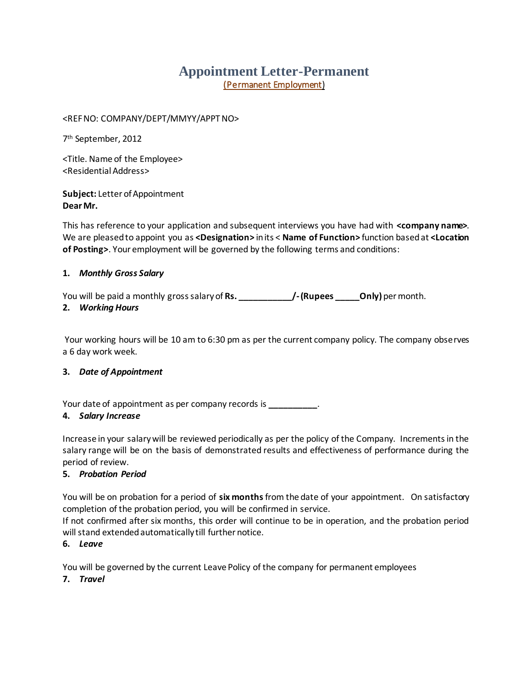# **Appointment Letter-Permanent** (Permanent Employment)

<REF NO: COMPANY/DEPT/MMYY/APPT NO>

7 th September, 2012

<Title. Name of the Employee> <Residential Address>

**Subject:** Letter of Appointment **Dear Mr.** 

This has reference to your application and subsequent interviews you have had with **<company name>**. We are pleased to appoint you as **<Designation>** in its < **Name of Function>** function based at **<Location of Posting>**. Your employment will be governed by the following terms and conditions:

#### **1.** *Monthly Gross Salary*

You will be paid a monthly gross salary of **Rs. \_\_\_\_\_\_\_\_\_\_\_/-(Rupees \_\_\_\_\_Only)** per month.

#### **2.** *Working Hours*

Your working hours will be 10 am to 6:30 pm as per the current company policy. The company observes a 6 day work week.

## **3.** *Date of Appointment*

Your date of appointment as per company records is **\_\_\_\_\_\_\_\_\_\_**.

#### **4.** *Salary Increase*

Increase in your salary will be reviewed periodically as per the policy of the Company. Increments in the salary range will be on the basis of demonstrated results and effectiveness of performance during the period of review.

## **5.** *Probation Period*

You will be on probation for a period of **six months**from the date of your appointment. On satisfactory completion of the probation period, you will be confirmed in service.

If not confirmed after six months, this order will continue to be in operation, and the probation period will stand extended automatically till further notice.

#### **6.** *Leave*

You will be governed by the current Leave Policy of the company for permanent employees

**7.** *Travel*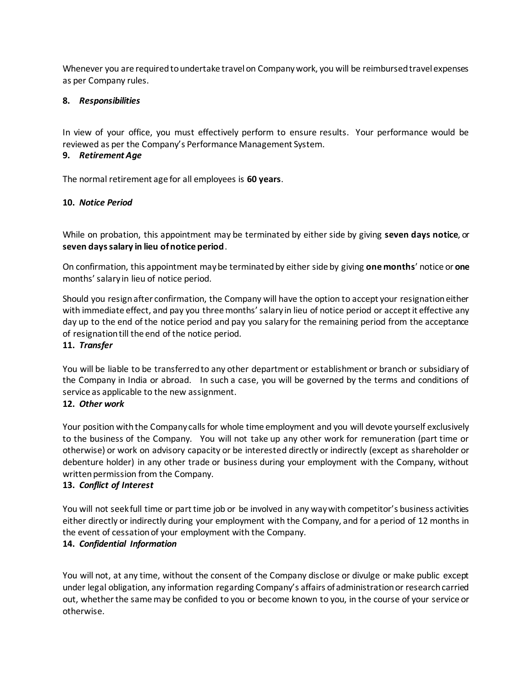Whenever you are required to undertake travel on Company work, you will be reimbursed travel expenses as per Company rules.

#### **8.** *Responsibilities*

In view of your office, you must effectively perform to ensure results. Your performance would be reviewed as per the Company's Performance Management System.

#### **9.** *Retirement Age*

The normal retirement age for all employees is **60 years**.

#### **10.** *Notice Period*

While on probation, this appointment may be terminated by either side by giving **seven days notice**, or **seven days salary in lieu of notice period**.

On confirmation, this appointment may be terminated by either side by giving **one months**' notice or **one** months' salary in lieu of notice period.

Should you resign after confirmation, the Company will have the option to accept your resignation either with immediate effect, and pay you three months' salary in lieu of notice period or accept it effective any day up to the end of the notice period and pay you salary for the remaining period from the acceptance of resignation till the end of the notice period.

#### **11.** *Transfer*

You will be liable to be transferred to any other department or establishment or branch or subsidiary of the Company in India or abroad. In such a case, you will be governed by the terms and conditions of service as applicable to the new assignment.

#### **12.** *Other work*

Your position with the Company calls for whole time employment and you will devote yourself exclusively to the business of the Company. You will not take up any other work for remuneration (part time or otherwise) or work on advisory capacity or be interested directly or indirectly (except as shareholder or debenture holder) in any other trade or business during your employment with the Company, without written permission from the Company.

#### **13.** *Conflict of Interest*

You will not seek full time or part time job or be involved in any way with competitor's business activities either directly or indirectly during your employment with the Company, and for a period of 12 months in the event of cessation of your employment with the Company.

#### **14.** *Confidential Information*

You will not, at any time, without the consent of the Company disclose or divulge or make public except under legal obligation, any information regarding Company's affairs of administration or research carried out, whether the same may be confided to you or become known to you, in the course of your service or otherwise.